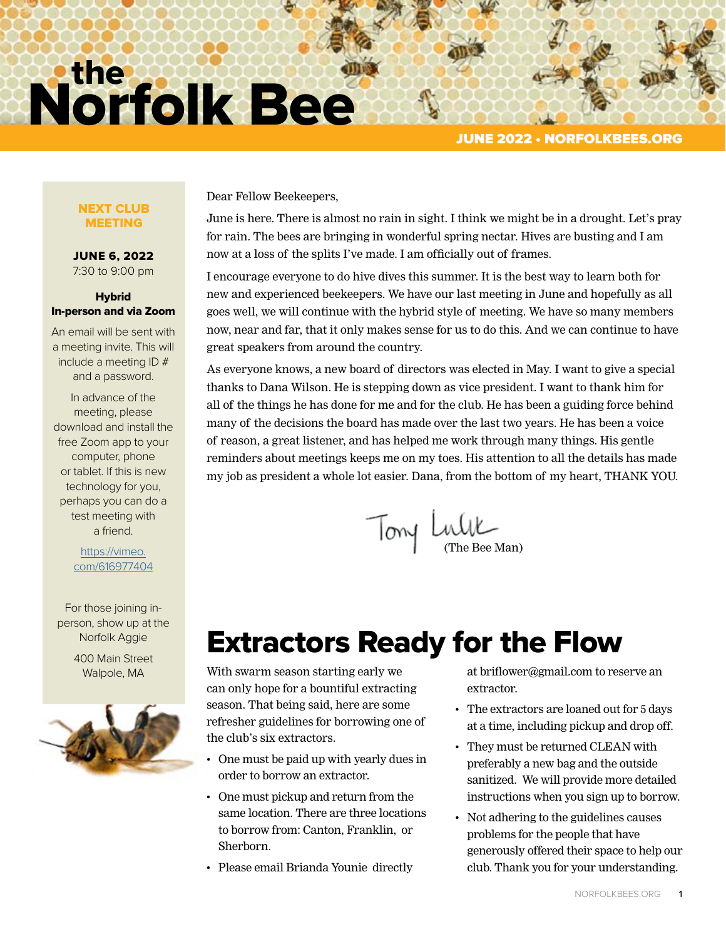# Norfolk Bee

JUNE 2022 • NORFOLKBEES.ORG

#### NEXT CLUB **MEETING**

June 6, 2022 7:30 to 9:00 pm

#### **Hybrid** In-person and via Zoom

An email will be sent with a meeting invite. This will include a meeting ID # and a password.

In advance of the meeting, please download and install the free Zoom app to your computer, phone or tablet. If this is new technology for you, perhaps you can do a test meeting with a friend.

> [https://vimeo.](https://vimeo.com/616977404) [com/616977404](https://vimeo.com/616977404)

For those joining inperson, show up at the Norfolk Aggie

> 400 Main Street Walpole, MA



Dear Fellow Beekeepers,

June is here. There is almost no rain in sight. I think we might be in a drought. Let's pray for rain. The bees are bringing in wonderful spring nectar. Hives are busting and I am now at a loss of the splits I've made. I am officially out of frames.

I encourage everyone to do hive dives this summer. It is the best way to learn both for new and experienced beekeepers. We have our last meeting in June and hopefully as all goes well, we will continue with the hybrid style of meeting. We have so many members now, near and far, that it only makes sense for us to do this. And we can continue to have great speakers from around the country.

As everyone knows, a new board of directors was elected in May. I want to give a special thanks to Dana Wilson. He is stepping down as vice president. I want to thank him for all of the things he has done for me and for the club. He has been a guiding force behind many of the decisions the board has made over the last two years. He has been a voice of reason, a great listener, and has helped me work through many things. His gentle reminders about meetings keeps me on my toes. His attention to all the details has made my job as president a whole lot easier. Dana, from the bottom of my heart, THANK YOU.

Tony Lulk

# Extractors Ready for the Flow

With swarm season starting early we can only hope for a bountiful extracting season. That being said, here are some refresher guidelines for borrowing one of the club's six extractors.

- One must be paid up with yearly dues in order to borrow an extractor.
- • One must pickup and return from the same location. There are three locations to borrow from: Canton, Franklin, or Sherborn.
- Please email Brianda Younie directly

at briflower@gmail.com to reserve an extractor.

- The extractors are loaned out for 5 days at a time, including pickup and drop off.
- They must be returned CLEAN with preferably a new bag and the outside sanitized. We will provide more detailed instructions when you sign up to borrow.
- • Not adhering to the guidelines causes problems for the people that have generously offered their space to help our club. Thank you for your understanding.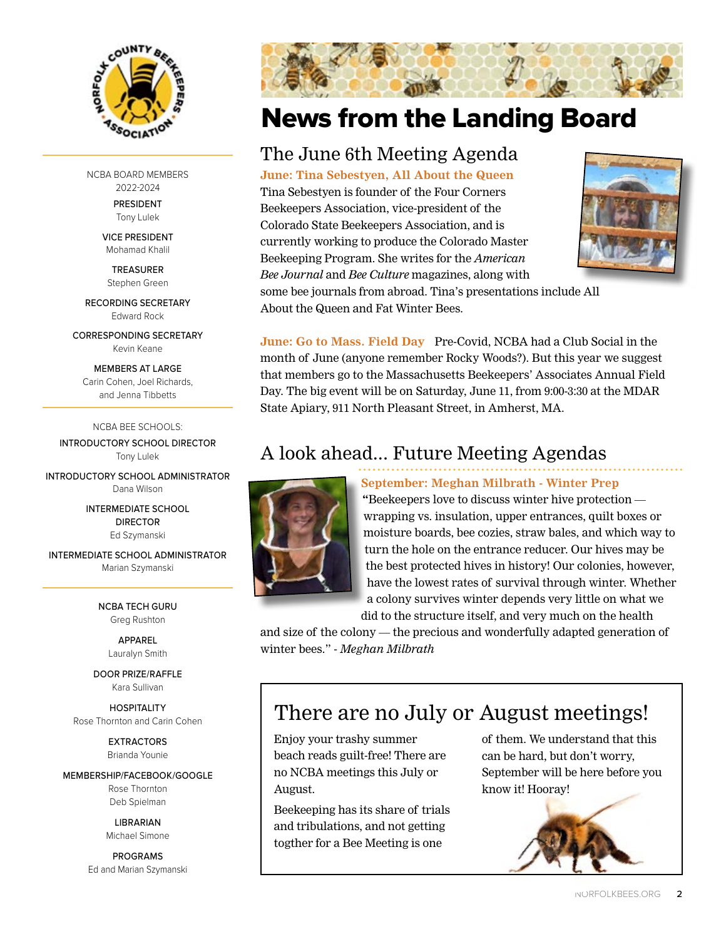

NCBA Board Members 2022-2024 President

Tony Lulek

Vice President Mohamad Khalil

**TREASURER** Stephen Green

Recording Secretary Edward Rock

Corresponding Secretary Kevin Keane

Members at Large Carin Cohen, Joel Richards, and Jenna Tibbetts

NCBA Bee Schools: introductory school Director Tony Lulek

Introductory school Administrator Dana Wilson

> Intermediate school director Ed Szymanski

Intermediate school Administrator Marian Szymanski

> NCBA TECH GURU Greg Rushton

> > Apparel Lauralyn Smith

Door Prize/Raffle Kara Sullivan

**HOSPITALITY** Rose Thornton and Carin Cohen

> **EXTRACTORS** Brianda Younie

#### Membership/Facebook/Google

Rose Thornton Deb Spielman

**LIBRARIAN** Michael Simone

programs Ed and Marian Szymanski



### News from the Landing Board

### The June 6th Meeting Agenda

**June: Tina Sebestyen, All About the Queen**  Tina Sebestyen is founder of the Four Corners Beekeepers Association, vice-president of the Colorado State Beekeepers Association, and is currently working to produce the Colorado Master Beekeeping Program. She writes for the *American Bee Journal* and *Bee Culture* magazines, along with



some bee journals from abroad. Tina's presentations include All About the Queen and Fat Winter Bees.

**June: Go to Mass. Field Day** Pre-Covid, NCBA had a Club Social in the month of June (anyone remember Rocky Woods?). But this year we suggest that members go to the Massachusetts Beekeepers' Associates Annual Field Day. The big event will be on Saturday, June 11, from 9:00-3:30 at the MDAR State Apiary, 911 North Pleasant Street, in Amherst, MA.

### A look ahead... Future Meeting Agendas



#### **September: Meghan Milbrath - Winter Prep**

**"**Beekeepers love to discuss winter hive protection wrapping vs. insulation, upper entrances, quilt boxes or moisture boards, bee cozies, straw bales, and which way to turn the hole on the entrance reducer. Our hives may be the best protected hives in history! Our colonies, however, have the lowest rates of survival through winter. Whether a colony survives winter depends very little on what we did to the structure itself, and very much on the health

and size of the colony — the precious and wonderfully adapted generation of winter bees." - *Meghan Milbrath*

### There are no July or August meetings!

Enjoy your trashy summer beach reads guilt-free! There are no NCBA meetings this July or August.

Beekeeping has its share of trials and tribulations, and not getting togther for a Bee Meeting is one

of them. We understand that this can be hard, but don't worry, September will be here before you know it! Hooray!

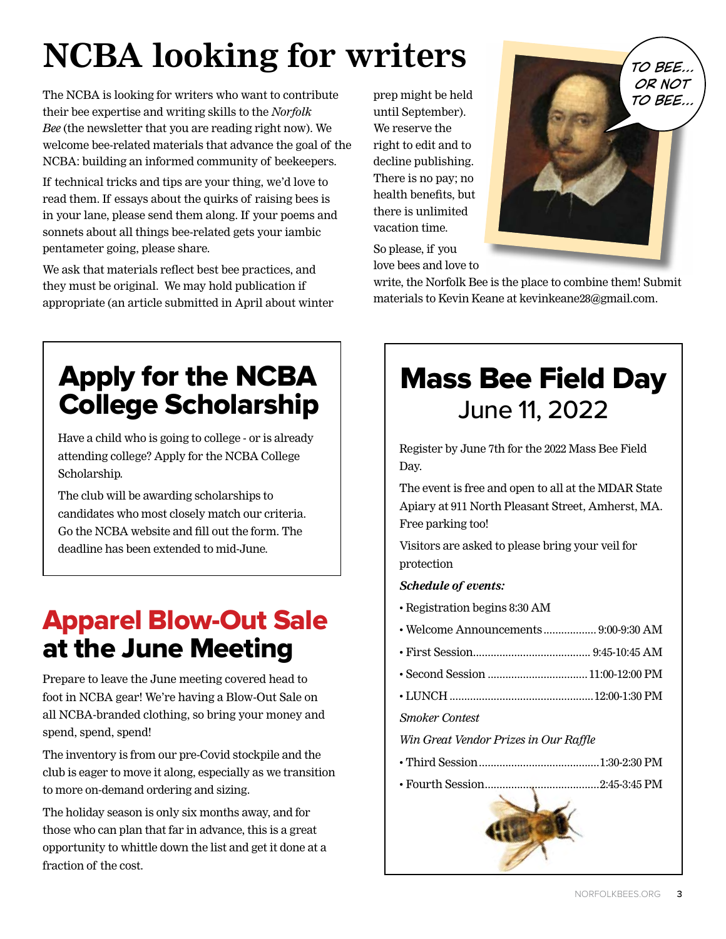# **NCBA looking for writers**

The NCBA is looking for writers who want to contribute their bee expertise and writing skills to the *Norfolk Bee* (the newsletter that you are reading right now). We welcome bee-related materials that advance the goal of the NCBA: building an informed community of beekeepers.

If technical tricks and tips are your thing, we'd love to read them. If essays about the quirks of raising bees is in your lane, please send them along. If your poems and sonnets about all things bee-related gets your iambic pentameter going, please share.

We ask that materials reflect best bee practices, and they must be original. We may hold publication if appropriate (an article submitted in April about winter prep might be held until September). We reserve the right to edit and to decline publishing. There is no pay; no health benefits, but there is unlimited vacation time.

So please, if you



love bees and love to

write, the Norfolk Bee is the place to combine them! Submit materials to Kevin Keane at kevinkeane28@gmail.com.

## Apply for the NCBA College Scholarship

Have a child who is going to college - or is already attending college? Apply for the NCBA College Scholarship.

The club will be awarding scholarships to candidates who most closely match our criteria. Go the NCBA website and fill out the form. The deadline has been extended to mid-June.

### Apparel Blow-Out Sale at the June Meeting

Prepare to leave the June meeting covered head to foot in NCBA gear! We're having a Blow-Out Sale on all NCBA-branded clothing, so bring your money and spend, spend, spend!

The inventory is from our pre-Covid stockpile and the club is eager to move it along, especially as we transition to more on-demand ordering and sizing.

The holiday season is only six months away, and for those who can plan that far in advance, this is a great opportunity to whittle down the list and get it done at a fraction of the cost.

# Mass Bee Field Day June 11, 2022

Register by June 7th for the 2022 Mass Bee Field Day.

The event is free and open to all at the MDAR State Apiary at 911 North Pleasant Street, Amherst, MA. Free parking too!

Visitors are asked to please bring your veil for protection

#### *Schedule of events:*

- Registration begins 8:30 AM
- Welcome Announcements.................. 9:00-9:30 AM
- First Session........................................ 9:45-10:45 AM
- Second Session ..................................11:00-12:00 PM
- LUNCH .................................................12:00-1:30 PM

#### *Smoker Contest*

*Win Great Vendor Prizes in Our Raffle*

- Third Session.........................................1:30-2:30 PM
- Fourth Session.......................................2:45-3:45 PM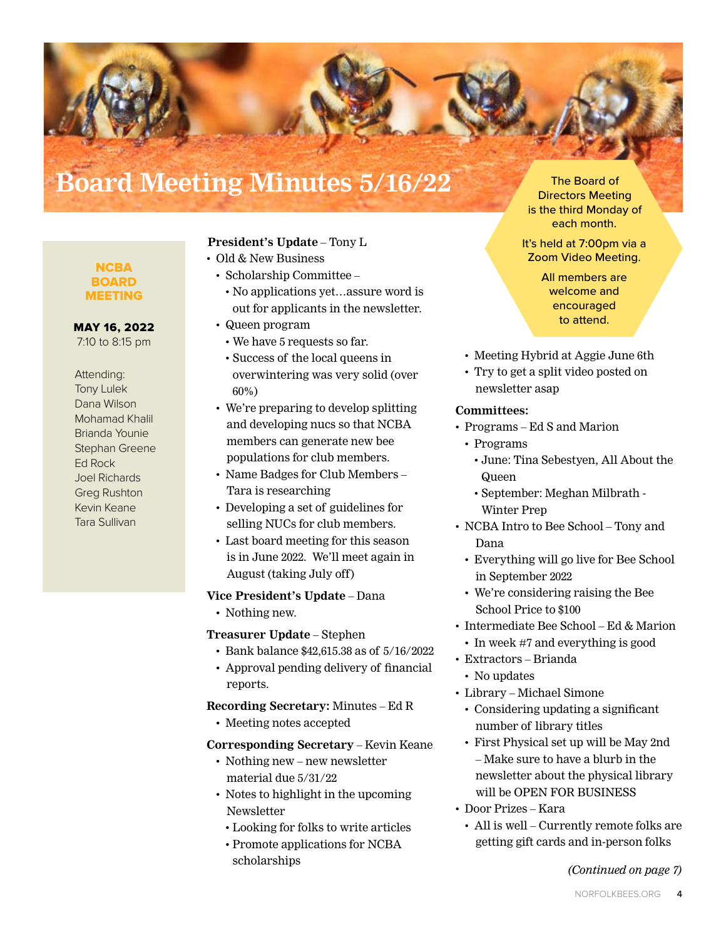### **Board Meeting Minutes 5/16/22**

#### **NCBA** BOARD MEETING

#### MAY 16, 2022 7:10 to 8:15 pm

Attending: Tony Lulek Dana Wilson Mohamad Khalil Brianda Younie Stephan Greene Ed Rock Joel Richards Greg Rushton Kevin Keane Tara Sullivan

#### **President's Update** – Tony L

- Old & New Business
	- • Scholarship Committee • No applications yet…assure word is
		- out for applicants in the newsletter.
	- Queen program
	- • We have 5 requests so far.
	- • Success of the local queens in overwintering was very solid (over 60%)
	- We're preparing to develop splitting and developing nucs so that NCBA members can generate new bee populations for club members.
	- • Name Badges for Club Members Tara is researching
	- Developing a set of guidelines for selling NUCs for club members.
	- Last board meeting for this season is in June 2022. We'll meet again in August (taking July off)

#### **Vice President's Update** – Dana

• Nothing new.

#### **Treasurer Update** – Stephen

- • Bank balance \$42,615.38 as of 5/16/2022
- Approval pending delivery of financial reports.

#### **Recording Secretary:** Minutes – Ed R

• Meeting notes accepted

#### **Corresponding Secretary** – Kevin Keane

- Nothing new new newsletter material due 5/31/22
- Notes to highlight in the upcoming Newsletter
	- • Looking for folks to write articles
	- • Promote applications for NCBA scholarships

The Board of Directors Meeting is the third Monday of each month.

It's held at 7:00pm via a Zoom Video Meeting.

> All members are welcome and encouraged to attend.

- Meeting Hybrid at Aggie June 6th
- Try to get a split video posted on newsletter asap

#### **Committees:**

- Programs Ed S and Marion
- Programs
	- • June: Tina Sebestyen, All About the Queen
	- • September: Meghan Milbrath Winter Prep
- NCBA Intro to Bee School Tony and Dana
	- • Everything will go live for Bee School in September 2022
	- • We're considering raising the Bee School Price to \$100
- Intermediate Bee School Ed & Marion • In week #7 and everything is good
- • Extractors Brianda
- No updates
- • Library Michael Simone
	- Considering updating a significant number of library titles
	- • First Physical set up will be May 2nd – Make sure to have a blurb in the newsletter about the physical library will be OPEN FOR BUSINESS
- • Door Prizes Kara
	- All is well Currently remote folks are getting gift cards and in-person folks

#### *(Continued on page 7)*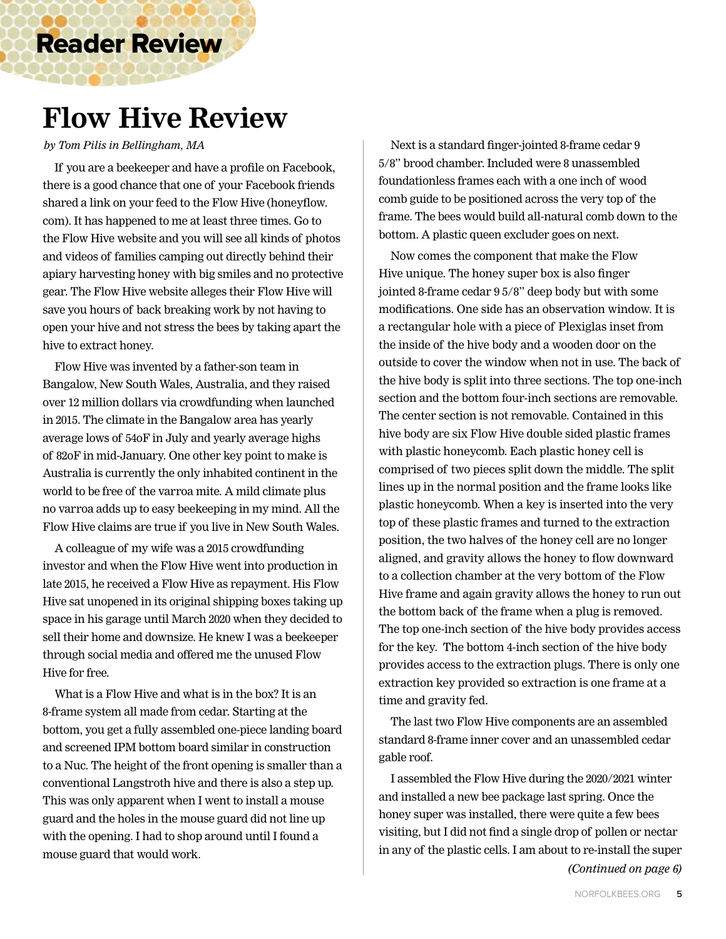### Reader Review

### **Flow Hive Review**

*by Tom Pilis in Bellingham, MA*

If you are a beekeeper and have a profile on Facebook, there is a good chance that one of your Facebook friends shared a link on your feed to the Flow Hive (honeyflow. com). It has happened to me at least three times. Go to the Flow Hive website and you will see all kinds of photos and videos of families camping out directly behind their apiary harvesting honey with big smiles and no protective gear. The Flow Hive website alleges their Flow Hive will save you hours of back breaking work by not having to open your hive and not stress the bees by taking apart the hive to extract honey.

Flow Hive was invented by a father-son team in Bangalow, New South Wales, Australia, and they raised over 12 million dollars via crowdfunding when launched in 2015. The climate in the Bangalow area has yearly average lows of 54oF in July and yearly average highs of 82oF in mid-January. One other key point to make is Australia is currently the only inhabited continent in the world to be free of the varroa mite. A mild climate plus no varroa adds up to easy beekeeping in my mind. All the Flow Hive claims are true if you live in New South Wales.

A colleague of my wife was a 2015 crowdfunding investor and when the Flow Hive went into production in late 2015, he received a Flow Hive as repayment. His Flow Hive sat unopened in its original shipping boxes taking up space in his garage until March 2020 when they decided to sell their home and downsize. He knew I was a beekeeper through social media and offered me the unused Flow Hive for free.

What is a Flow Hive and what is in the box? It is an 8-frame system all made from cedar. Starting at the bottom, you get a fully assembled one-piece landing board and screened IPM bottom board similar in construction to a Nuc. The height of the front opening is smaller than a conventional Langstroth hive and there is also a step up. This was only apparent when I went to install a mouse guard and the holes in the mouse guard did not line up with the opening. I had to shop around until I found a mouse guard that would work.

Next is a standard finger-jointed 8-frame cedar 9 5/8" brood chamber. Included were 8 unassembled foundationless frames each with a one inch of wood comb guide to be positioned across the very top of the frame. The bees would build all-natural comb down to the bottom. A plastic queen excluder goes on next.

Now comes the component that make the Flow Hive unique. The honey super box is also finger jointed 8-frame cedar 9 5/8" deep body but with some modifications. One side has an observation window. It is a rectangular hole with a piece of Plexiglas inset from the inside of the hive body and a wooden door on the outside to cover the window when not in use. The back of the hive body is split into three sections. The top one-inch section and the bottom four-inch sections are removable. The center section is not removable. Contained in this hive body are six Flow Hive double sided plastic frames with plastic honeycomb. Each plastic honey cell is comprised of two pieces split down the middle. The split lines up in the normal position and the frame looks like plastic honeycomb. When a key is inserted into the very top of these plastic frames and turned to the extraction position, the two halves of the honey cell are no longer aligned, and gravity allows the honey to flow downward to a collection chamber at the very bottom of the Flow Hive frame and again gravity allows the honey to run out the bottom back of the frame when a plug is removed. The top one-inch section of the hive body provides access for the key. The bottom 4-inch section of the hive body provides access to the extraction plugs. There is only one extraction key provided so extraction is one frame at a time and gravity fed.

The last two Flow Hive components are an assembled standard 8-frame inner cover and an unassembled cedar gable roof.

I assembled the Flow Hive during the 2020/2021 winter and installed a new bee package last spring. Once the honey super was installed, there were quite a few bees visiting, but I did not find a single drop of pollen or nectar in any of the plastic cells. I am about to re-install the super *(Continued on page 6)*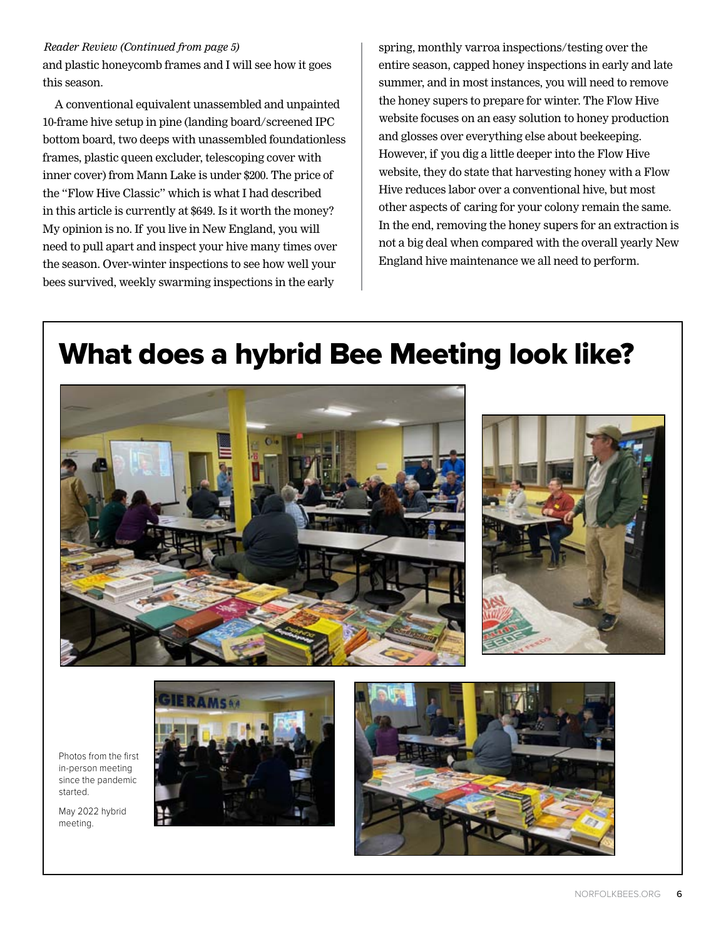#### *Reader Review (Continued from page 5)*

and plastic honeycomb frames and I will see how it goes this season.

A conventional equivalent unassembled and unpainted 10-frame hive setup in pine (landing board/screened IPC bottom board, two deeps with unassembled foundationless frames, plastic queen excluder, telescoping cover with inner cover) from Mann Lake is under \$200. The price of the "Flow Hive Classic" which is what I had described in this article is currently at \$649. Is it worth the money? My opinion is no. If you live in New England, you will need to pull apart and inspect your hive many times over the season. Over-winter inspections to see how well your bees survived, weekly swarming inspections in the early

spring, monthly varroa inspections/testing over the entire season, capped honey inspections in early and late summer, and in most instances, you will need to remove the honey supers to prepare for winter. The Flow Hive website focuses on an easy solution to honey production and glosses over everything else about beekeeping. However, if you dig a little deeper into the Flow Hive website, they do state that harvesting honey with a Flow Hive reduces labor over a conventional hive, but most other aspects of caring for your colony remain the same. In the end, removing the honey supers for an extraction is not a big deal when compared with the overall yearly New England hive maintenance we all need to perform.

### What does a hybrid Bee Meeting look like?







started. May 2022 hybrid meeting.



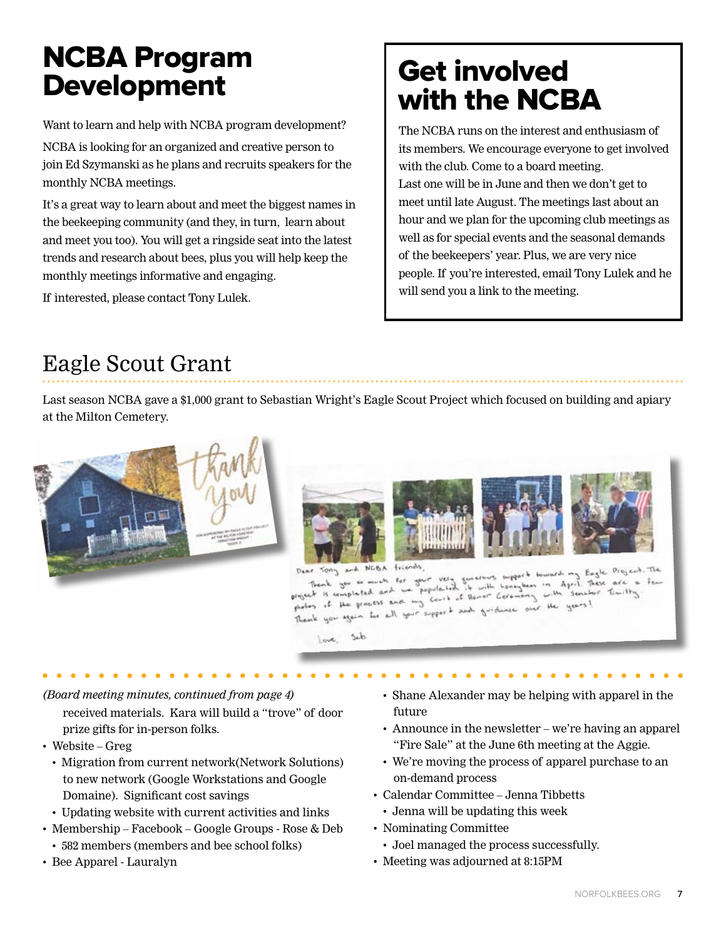### NCBA Program Development

Want to learn and help with NCBA program development?

NCBA is looking for an organized and creative person to join Ed Szymanski as he plans and recruits speakers for the monthly NCBA meetings.

It's a great way to learn about and meet the biggest names in the beekeeping community (and they, in turn, learn about and meet you too). You will get a ringside seat into the latest trends and research about bees, plus you will help keep the monthly meetings informative and engaging.

If interested, please contact Tony Lulek.

### Get involved with the NCBA

The NCBA runs on the interest and enthusiasm of its members. We encourage everyone to get involved with the club. Come to a board meeting. Last one will be in June and then we don't get to meet until late August. The meetings last about an hour and we plan for the upcoming club meetings as well as for special events and the seasonal demands of the beekeepers' year. Plus, we are very nice people. If you're interested, email Tony Lulek and he will send you a link to the meeting.

### Eagle Scout Grant

Last season NCBA gave a \$1,000 grant to Sebastian Wright's Eagle Scout Project which focused on building and apiary at the Milton Cemetery.





erous support toward my Eagle Project. The  $D_{\text{max}}$ ent you so much for your very generous support town April These are a few Court of Donor Geramony with Senator the process and my use over the years! you again for all your supp

*(Board meeting minutes, continued from page 4)*

received materials. Kara will build a "trove" of door prize gifts for in-person folks.

- Website Greg
	- Migration from current network(Network Solutions) to new network (Google Workstations and Google Domaine). Significant cost savings
	- Updating website with current activities and links
- • Membership Facebook Google Groups Rose & Deb
- • 582 members (members and bee school folks)
- • Bee Apparel Lauralyn
- Shane Alexander may be helping with apparel in the future
- Announce in the newsletter we're having an apparel "Fire Sale" at the June 6th meeting at the Aggie.
- • We're moving the process of apparel purchase to an on-demand process
- • Calendar Committee Jenna Tibbetts
	- Jenna will be updating this week
- Nominating Committee
	- • Joel managed the process successfully.
- Meeting was adjourned at 8:15PM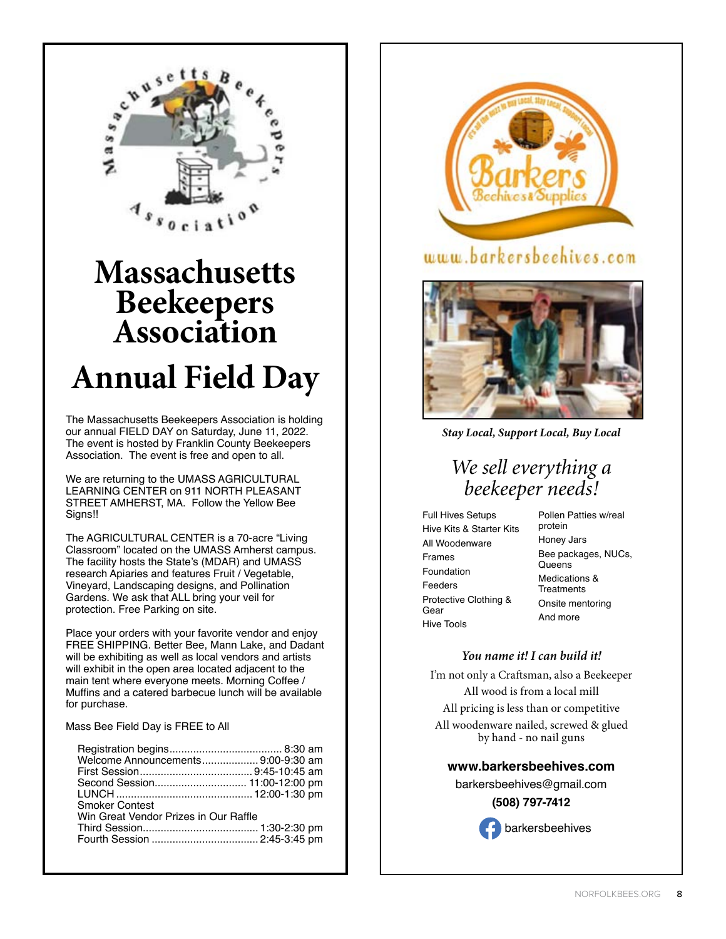

# **Massachusetts Beekeepers Association Annual Field Day**

The Massachusetts Beekeepers Association is holding our annual FIELD DAY on Saturday, June 11, 2022. The event is hosted by Franklin County Beekeepers Association. The event is free and open to all.

We are returning to the UMASS AGRICULTURAL LEARNING CENTER on 911 NORTH PLEASANT STREET AMHERST, MA. Follow the Yellow Bee Signs!!

The AGRICULTURAL CENTER is a 70-acre "Living Classroom" located on the UMASS Amherst campus. The facility hosts the State's (MDAR) and UMASS research Apiaries and features Fruit / Vegetable, Vineyard, Landscaping designs, and Pollination Gardens. We ask that ALL bring your veil for protection. Free Parking on site.

Place your orders with your favorite vendor and enjoy FREE SHIPPING. Better Bee, Mann Lake, and Dadant will be exhibiting as well as local vendors and artists will exhibit in the open area located adjacent to the main tent where everyone meets. Morning Coffee / Muffins and a catered barbecue lunch will be available for purchase.

Mass Bee Field Day is FREE to All

| Welcome Announcements 9:00-9:30 am    |  |
|---------------------------------------|--|
| <b>Smoker Contest</b>                 |  |
| Win Great Vendor Prizes in Our Raffle |  |



### www.barkersbeehives.com



*Stay Local, Support Local, Buy Local*

### *We sell everything a beekeeper needs!*

Full Hives Setups Hive Kits & Starter Kits All Woodenware Frames Foundation Feeders Protective Clothing & Gear Hive Tools

Pollen Patties w/real protein Honey Jars Bee packages, NUCs, **Queens** Medications & **Treatments** Onsite mentoring And more

#### *You name it! I can build it!*

I'm not only a Craftsman, also a Beekeeper All wood is from a local mill All pricing is less than or competitive All woodenware nailed, screwed & glued by hand - no nail guns

**www.barkersbeehives.com**

barkersbeehives@gmail.com

#### **(508) 797-7412**